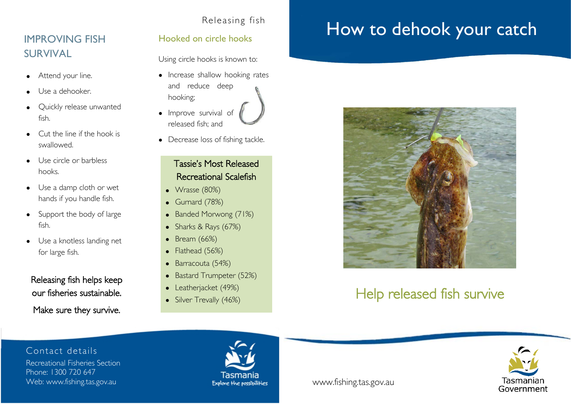#### Releasing fish

## IMPROVING FISH SURVIVAL

- Attend your line.
- Use a dehooker.
- Quickly release unwanted fish.
- Cut the line if the hook is swallowed.
- Use circle or barbless hooks.
- Use a damp cloth or wet hands if you handle fish.
- Support the body of large fish.
- Use a knotless landing net for large fish.

## Releasing fish helps keep our fisheries sustainable. Make sure they survive.

#### Hooked on circle hooks

Using circle hooks is known to:

• Increase shallow hooking rates and reduce deep hooking;



• Decrease loss of fishing tackle.

## Tassie's Most Released Recreational Scalefish

- Wrasse (80%)
- Gurnard (78%)
- Banded Morwong (71%)
- Sharks & Rays (67%)
- Bream (66%)
- Flathead (56%)
- Barracouta (54%)
- Bastard Trumpeter (52%)
- Leatherjacket (49%)
- Leatherjacket (47%)<br>• Silver Trevally (46%)

# How to dehook your catch



## Help released fish survive

Contact details

Recreational Fisheries Section Phone: 1300 720 647 Web: www.fishing.tas.gov.au www.fishing.tas.gov.au